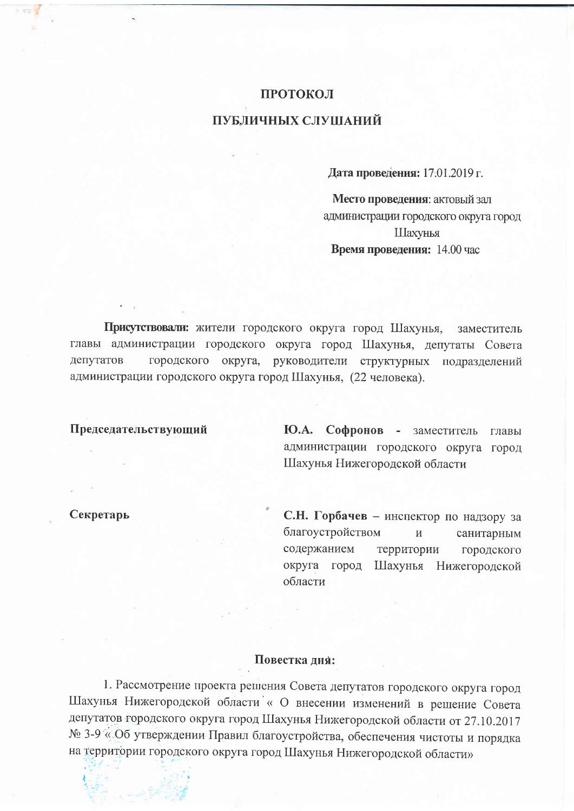## **ПРОТОКОЛ** ПУБЛИЧНЫХ СЛУШАНИЙ

Дата проведения: 17.01.2019 г.

Место проведения: актовый зал администрации городского округа город Шахунья Время проведения: 14.00 час

Присутствовали: жители городского округа город Шахунья, заместитель главы администрации городского округа город Шахунья, депутаты Совета депутатов городского округа, руководители структурных подразделений администрации городского округа город Шахунья, (22 человека).

## Председательствующий

Ю.А. Софронов - заместитель главы администрации городского округа город Шахунья Нижегородской области

Секретарь

С.Н. Горбачев - инспектор по надзору за благоустройством  $\overline{M}$ санитарным содержанием территории городского округа город Шахунья Нижегородской области

## Повестка лия:

1. Рассмотрение проекта решения Совета депутатов городского округа город Шахунья Нижегородской области « О внесении изменений в решение Совета депутатов городского округа город Шахунья Нижегородской области от 27.10.2017 № 3-9 «Об утверждении Правил благоустройства, обеспечения чистоты и порядка на территории городского округа город Шахунья Нижегородской области»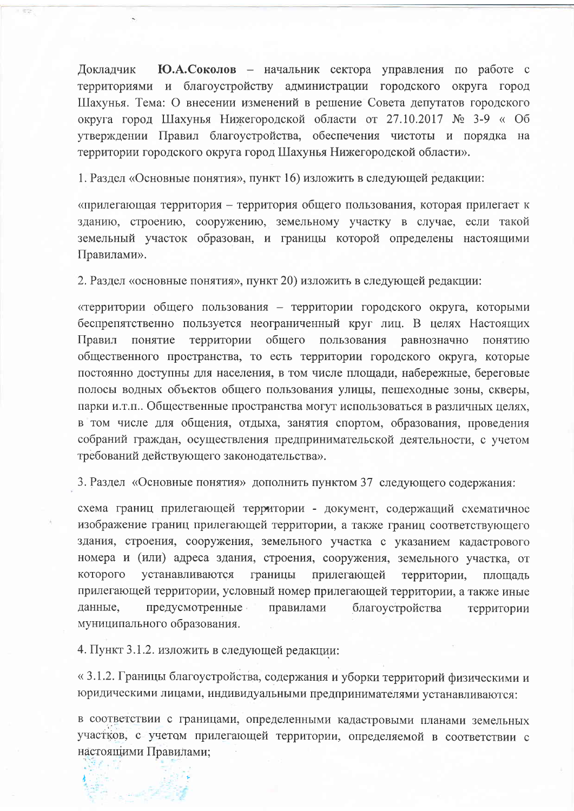Локлалчик Ю.А.Соколов - начальник сектора управления по работе с территориями и благоустройству администрации городского округа город Шахунья. Тема: О внесении изменений в решение Совета депутатов городского округа город Шахунья Нижегородской области от 27.10.2017 № 3-9 « Об утверждении Правил благоустройства, обеспечения чистоты и порядка на территории городского округа город Шахунья Нижегородской области».

1. Раздел «Основные понятия», пункт 16) изложить в следующей редакции:

«прилегающая территория – территория общего пользования, которая прилегает к зданию, строению, сооружению, земельному участку в случае, если такой земельный участок образован, и границы которой определены настоящими Правилами».

2. Раздел «основные понятия», пункт 20) изложить в следующей редакции:

«территории общего пользования - территории городского округа, которыми беспрепятственно пользуется неограниченный круг лиц. В целях Настоящих территории общего пользования равнозначно понятию Правил понятие общественного пространства, то есть территории городского округа, которые постоянно доступны для населения, в том числе площади, набережные, береговые полосы водных объектов общего пользования улицы, пешеходные зоны, скверы, парки и.т.п.. Общественные пространства могут использоваться в различных целях, в том числе для общения, отдыха, занятия спортом, образования, проведения собраний граждан, осуществления предпринимательской деятельности, с учетом требований действующего законодательства».

3. Раздел «Основные понятия» дополнить пунктом 37 следующего содержания:

схема границ прилегающей территории - документ, содержащий схематичное изображение границ прилегающей территории, а также границ соответствующего здания, строения, сооружения, земельного участка с указанием кадастрового номера и (или) адреса здания, строения, сооружения, земельного участка, от которого устанавливаются границы прилегающей территории, площадь прилегающей территории, условный номер прилегающей территории, а также иные ланные. предусмотренные правилами благоустройства территории муниципального образования.

4. Пункт 3.1.2. изложить в следующей редакции:

« 3.1.2. Границы благоустройства, содержания и уборки территорий физическими и юридическими лицами, индивидуальными предпринимателями устанавливаются:

в соответствии с границами, определенными кадастровыми планами земельных участков, с учетом прилегающей территории, определяемой в соответствии с настоящими Правилами;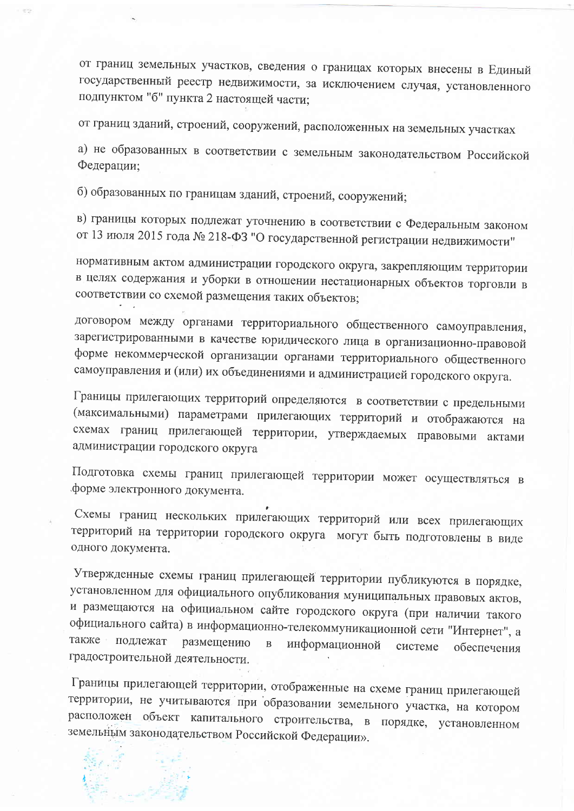от границ земельных участков, сведения о границах которых внесены в Единый государственный реестр недвижимости, за исключением случая, установленного подпунктом "б" пункта 2 настоящей части;

от границ зданий, строений, сооружений, расположенных на земельных участках

а) не образованных в соответствии с земельным законодательством Российской Федерации:

б) образованных по границам зданий, строений, сооружений;

в) границы которых подлежат уточнению в соответствии с Федеральным законом от 13 июля 2015 года № 218-ФЗ "О государственной регистрации недвижимости"

нормативным актом администрации городского округа, закрепляющим территории в целях содержания и уборки в отношении нестационарных объектов торговли в соответствии со схемой размещения таких объектов;

договором между органами территориального общественного самоуправления, зарегистрированными в качестве юридического лица в организационно-правовой форме некоммерческой организации органами территориального общественного самоуправления и (или) их объединениями и администрацией городского округа.

Границы прилегающих территорий определяются в соответствии с предельными (максимальными) параметрами прилегающих территорий и отображаются на схемах границ прилегающей территории, утверждаемых правовыми актами администрации городского округа

Подготовка схемы границ прилегающей территории может осуществляться в форме электронного документа.

Схемы границ нескольких прилегающих территорий или всех прилегающих территорий на территории городского округа могут быть подготовлены в виде одного документа.

Утвержденные схемы границ прилегающей территории публикуются в порядке, установленном для официального опубликования муниципальных правовых актов, и размещаются на официальном сайте городского округа (при наличии такого официального сайта) в информационно-телекоммуникационной сети "Интернет", а также подлежат размещению информационной  $\, {\bf B} \,$ системе обеспечения градостроительной деятельности.

Границы прилегающей территории, отображенные на схеме границ прилегающей территории, не учитываются при образовании земельного участка, на котором расположен объект капитального строительства, в порядке, установленном земельным законодательством Российской Федерации».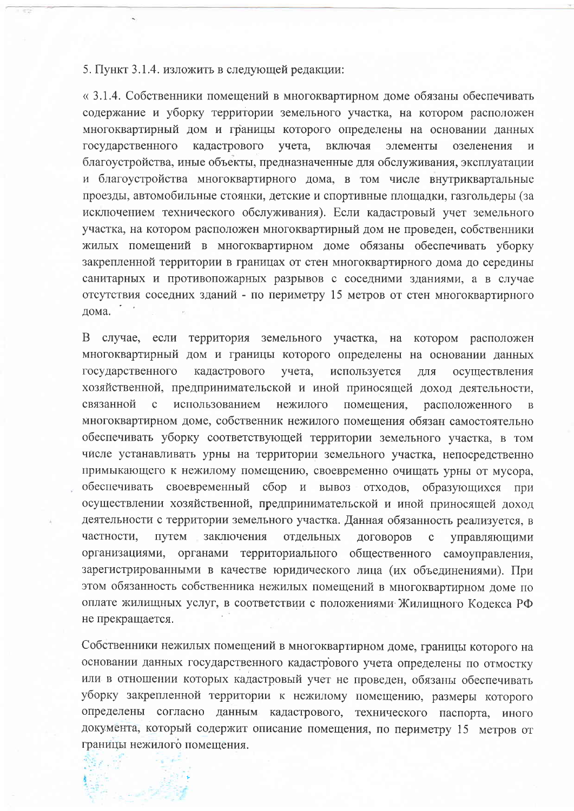5. Пункт 3.1.4. изложить в следующей редакции:

« 3.1.4. Собственники помещений в многоквартирном доме обязаны обеспечивать содержание и уборку территории земельного участка, на котором расположен многоквартирный дом и границы которого определены на основании данных государственного кадастрового учета. включая элементы озеленения И благоустройства, иные объекты, предназначенные для обслуживания, эксплуатации и благоустройства многоквартирного дома, в том числе внутриквартальные проезды, автомобильные стоянки, детские и спортивные плошалки, газгольдеры (за исключением технического обслуживания). Если кадастровый учет земельного участка, на котором расположен многоквартирный дом не проведен, собственники жилых помещений в многоквартирном доме обязаны обеспечивать уборку закрепленной территории в границах от стен многоквартирного дома до середины санитарных и противопожарных разрывов с соседними зданиями, а в случае отсутствия соседних зданий - по периметру 15 метров от стен многоквартирного дома.

В случае, если территория земельного участка, на котором расположен многоквартирный дом и границы которого определены на основании данных государственного кадастрового учета, используется ДЛЯ осуществления хозяйственной, предпринимательской и иной приносящей доход деятельности, связанной  $\mathbf{C}$ использованием нежилого помещения, расположенного  $\overline{B}$ многоквартирном доме, собственник нежилого помещения обязан самостоятельно обеспечивать уборку соответствующей территории земельного участка, в том числе устанавливать урны на территории земельного участка, непосредственно примыкающего к нежилому помещению, своевременно очищать урны от мусора, обеспечивать своевременный сбор и вывоз отходов, образующихся при осуществлении хозяйственной, предпринимательской и иной приносящей доход деятельности с территории земельного участка. Данная обязанность реализуется, в частности. путем заключения отдельных договоров  $\mathbf{c}$ управляющими организациями, органами территориального общественного самоуправления, зарегистрированными в качестве юридического лица (их объединениями). При этом обязанность собственника нежилых помещений в многоквартирном доме по оплате жилищных услуг, в соответствии с положениями Жилищного Кодекса РФ не прекращается.

Собственники нежилых помещений в многоквартирном доме, границы которого на основании данных государственного кадастрового учета определены по отмостку или в отношении которых кадастровый учет не проведен, обязаны обеспечивать уборку закрепленной территории к нежилому помещению, размеры которого определены согласно данным кадастрового, технического паспорта, иного документа, который содержит описание помещения, по периметру 15 метров от границы нежилого помещения.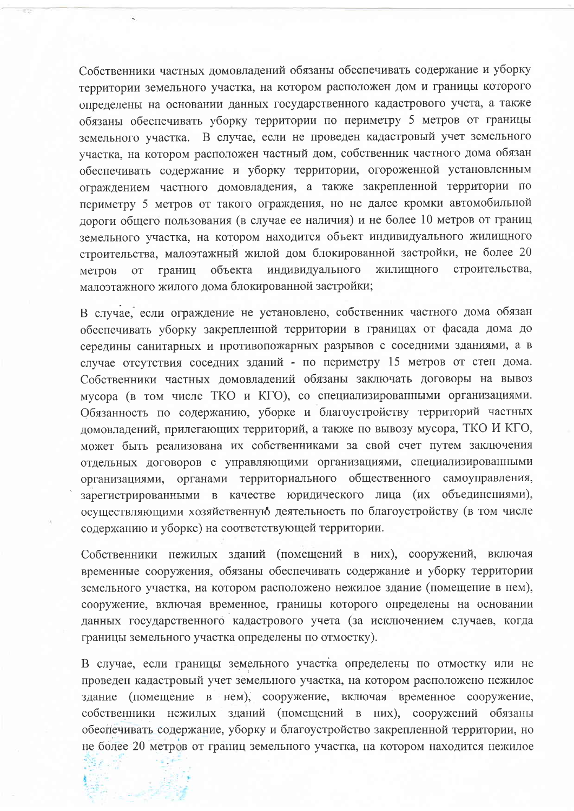Собственники частных домовладений обязаны обеспечивать содержание и уборку территории земельного участка, на котором расположен дом и границы которого определены на основании данных государственного кадастрового учета, а также обязаны обеспечивать уборку территории по периметру 5 метров от границы земельного участка. В случае, если не проведен кадастровый учет земельного участка, на котором расположен частный дом, собственник частного дома обязан обеспечивать содержание и уборку территории, огороженной установленным ограждением частного домовладения, а также закрепленной территории по периметру 5 метров от такого ограждения, но не далее кромки автомобильной дороги общего пользования (в случае ее наличия) и не более 10 метров от границ земельного участка, на котором находится объект индивидуального жилищного строительства, малоэтажный жилой дом блокированной застройки, не более 20 индивидуального жилищного строительства, границ объекта метров  $O(T)$ малоэтажного жилого дома блокированной застройки;

В случае, если ограждение не установлено, собственник частного дома обязан обеспечивать уборку закрепленной территории в границах от фасада дома до середины санитарных и противопожарных разрывов с соседними зданиями, а в случае отсутствия соседних зданий - по периметру 15 метров от стен дома. Собственники частных домовладений обязаны заключать договоры на вывоз мусора (в том числе ТКО и КГО), со специализированными организациями. Обязанность по содержанию, уборке и благоустройству территорий частных домовладений, прилегающих территорий, а также по вывозу мусора, ТКО И КГО, может быть реализована их собственниками за свой счет путем заключения отдельных договоров с управляющими организациями, специализированными организациями, органами территориального общественного самоуправления, зарегистрированными в качестве юридического лица (их объединениями), осуществляющими хозяйственную деятельность по благоустройству (в том числе содержанию и уборке) на соответствующей территории.

Собственники нежилых зданий (помещений в них), сооружений, включая временные сооружения, обязаны обеспечивать содержание и уборку территории земельного участка, на котором расположено нежилое здание (помещение в нем), сооружение, включая временное, границы которого определены на основании данных государственного кадастрового учета (за исключением случаев, когда границы земельного участка определены по отмостку).

В случае, если границы земельного участка определены по отмостку или не проведен кадастровый учет земельного участка, на котором расположено нежилое здание (помещение в нем), сооружение, включая временное сооружение, собственники нежилых зданий (помещений в них), сооружений обязаны обеспечивать содержание, уборку и благоустройство закрепленной территории, но не более 20 метров от границ земельного участка, на котором находится нежилое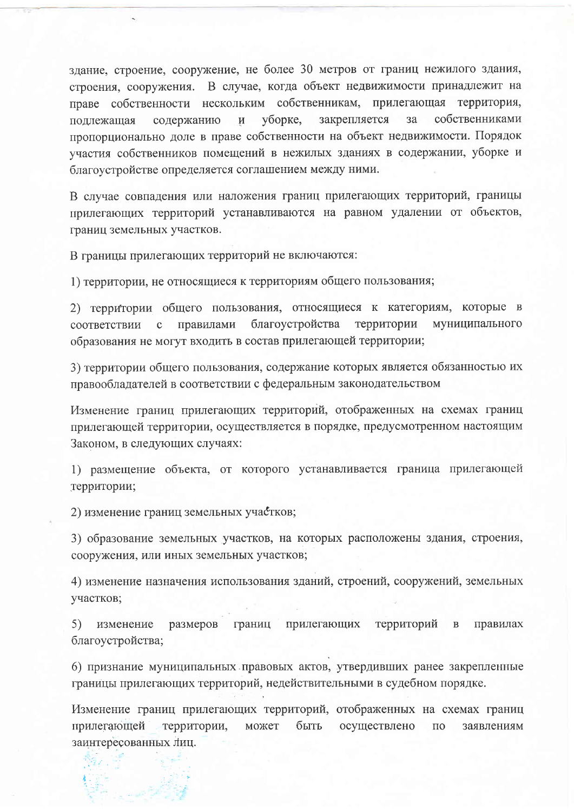злание, строение, сооружение, не более 30 метров от границ нежилого здания, строения, сооружения. В случае, когда объект недвижимости принадлежит на праве собственности нескольким собственникам, прилегающая территория, уборке, закрепляется  $3a$ собственниками подлежащая содержанию  $\boldsymbol{\mathrm{M}}$ пропорционально доле в праве собственности на объект недвижимости. Порядок участия собственников помещений в нежилых зданиях в содержании, уборке и благоустройстве определяется соглашением между ними.

В случае совпадения или наложения границ прилегающих территорий, границы прилегающих территорий устанавливаются на равном удалении от объектов, границ земельных участков.

В границы прилегающих территорий не включаются:

1) территории, не относящиеся к территориям общего пользования;

2) территории общего пользования, относящиеся к категориям, которые в благоустройства территории муниципального соответствии  $\mathbf{C}$ правилами образования не могут входить в состав прилегающей территории;

3) территории общего пользования, содержание которых является обязанностью их правообладателей в соответствии с федеральным законодательством

Изменение границ прилегающих территорий, отображенных на схемах границ прилегающей территории, осуществляется в порядке, предусмотренном настоящим Законом, в следующих случаях:

1) размещение объекта, от которого устанавливается граница прилегающей территории;

2) изменение границ земельных участков;

3) образование земельных участков, на которых расположены здания, строения, сооружения, или иных земельных участков;

4) изменение назначения использования зданий, строений, сооружений, земельных участков;

5) изменение размеров границ прилегающих территорий  $\, {\bf B}$ правилах благоустройства;

6) признание муниципальных правовых актов, утвердивших ранее закрепленные границы прилегающих территорий, недействительными в судебном порядке.

Изменение границ прилегающих территорий, отображенных на схемах границ прилегающей может быть территории, осуществлено  $\Pi{\rm O}$ заявлениям заинтересованных лиц.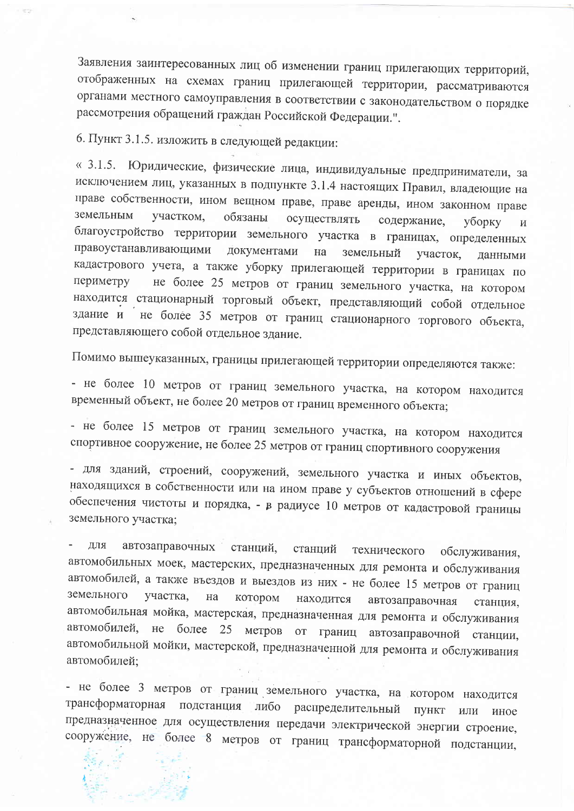Заявления заинтересованных лиц об изменении границ прилегающих территорий, отображенных на схемах границ прилегающей территории, рассматриваются органами местного самоуправления в соответствии с законодательством о порядке рассмотрения обращений граждан Российской Федерации.".

6. Пункт 3.1.5. изложить в следующей редакции:

« 3.1.5. Юридические, физические лица, индивидуальные предприниматели, за исключением лиц, указанных в подпункте 3.1.4 настоящих Правил, владеющие на праве собственности, ином вещном праве, праве аренды, ином законном праве земельным участком, обязаны осуществлять содержание, уборку  $\boldsymbol{M}$ благоустройство территории земельного участка в границах, определенных правоустанавливающими документами на земельный участок, данными кадастрового учета, а также уборку прилегающей территории в границах по не более 25 метров от границ земельного участка, на котором периметру находится стационарный торговый объект, представляющий собой отдельное здание и не более 35 метров от границ стационарного торгового объекта, представляющего собой отдельное здание.

Помимо вышеуказанных, границы прилегающей территории определяются также:

- не более 10 метров от границ земельного участка, на котором находится временный объект, не более 20 метров от границ временного объекта;

- не более 15 метров от границ земельного участка, на котором находится спортивное сооружение, не более 25 метров от границ спортивного сооружения

- для зданий, строений, сооружений, земельного участка и иных объектов, находящихся в собственности или на ином праве у субъектов отношений в сфере обеспечения чистоты и порядка, - в радиусе 10 метров от кадастровой границы земельного участка;

ДЛЯ автозаправочных станций, станций технического обслуживания, автомобильных моек, мастерских, предназначенных для ремонта и обслуживания автомобилей, а также въездов и выездов из них - не более 15 метров от границ земельного участка, на котором находится автозаправочная станция, автомобильная мойка, мастерская, предназначенная для ремонта и обслуживания автомобилей, не более 25 метров от границ автозаправочной станции, автомобильной мойки, мастерской, предназначенной для ремонта и обслуживания автомобилей;

- не более 3 метров от границ земельного участка, на котором находится трансформаторная подстанция либо распределительный пункт или иное предназначенное для осуществления передачи электрической энергии строение, сооружение, не более 8 метров от границ трансформаторной подстанции,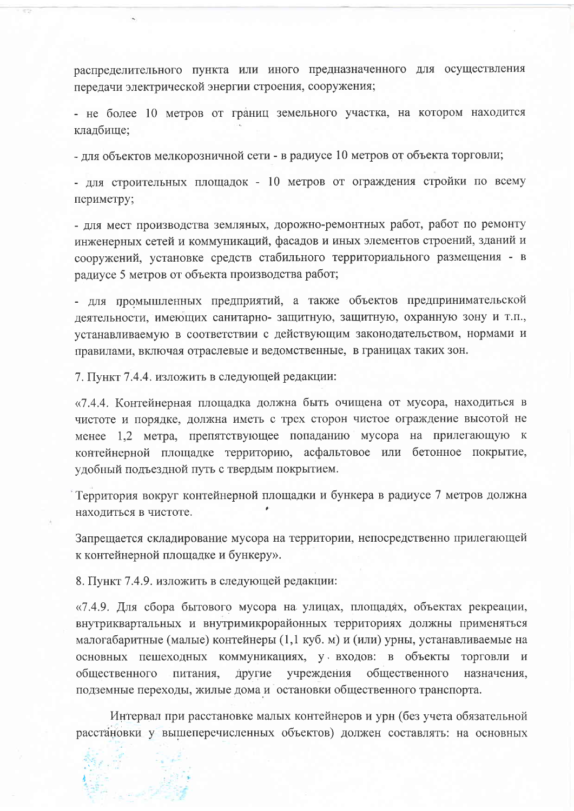распределительного пункта или иного предназначенного для осуществления передачи электрической энергии строения, сооружения;

- не более 10 метров от границ земельного участка, на котором находится кладбище;

- для объектов мелкорозничной сети - в радиусе 10 метров от объекта торговли;

- для строительных площадок - 10 метров от ограждения стройки по всему периметру;

- для мест производства земляных, дорожно-ремонтных работ, работ по ремонту инженерных сетей и коммуникаций, фасадов и иных элементов строений, зданий и сооружений, установке средств стабильного территориального размещения - в радиусе 5 метров от объекта производства работ;

- для промышленных предприятий, а также объектов предпринимательской деятельности, имеющих санитарно-защитную, защитную, охранную зону и т.п., устанавливаемую в соответствии с действующим законодательством, нормами и правилами, включая отраслевые и ведомственные, в границах таких зон.

7. Пункт 7.4.4. изложить в следующей редакции:

«7.4.4. Контейнерная площадка должна быть очищена от мусора, находиться в чистоте и порядке, должна иметь с трех сторон чистое ограждение высотой не менее 1,2 метра, препятствующее попаданию мусора на прилегающую к контейнерной площадке территорию, асфальтовое или бетонное покрытие, удобный подъездной путь с твердым покрытием.

Территория вокруг контейнерной площадки и бункера в радиусе 7 метров должна находиться в чистоте.

Запрещается складирование мусора на территории, непосредственно прилегающей к контейнерной площадке и бункеру».

8. Пункт 7.4.9. изложить в следующей редакции:

«7.4.9. Для сбора бытового мусора на улицах, площадях, объектах рекреации, внутриквартальных и внутримикрорайонных территориях должны применяться малогабаритные (малые) контейнеры (1,1 куб. м) и (или) урны, устанавливаемые на основных пешеходных коммуникациях, у входов: в объекты торговли и общественного питания, другие учреждения общественного назначения, подземные переходы, жилые дома и остановки общественного транспорта.

Интервал при расстановке малых контейнеров и урн (без учета обязательной расстановки у вышеперечисленных объектов) должен составлять: на основных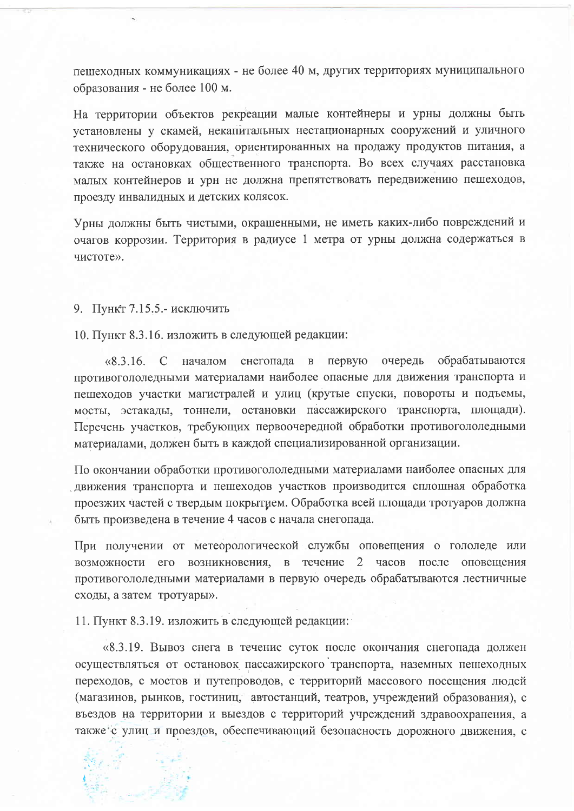пешеходных коммуникациях - не более 40 м, других территориях муниципального образования - не более 100 м.

На территории объектов рекреации малые контейнеры и урны должны быть установлены у скамей, некапитальных нестационарных сооружений и уличного технического оборудования, ориентированных на продажу продуктов питания, а также на остановках общественного транспорта. Во всех случаях расстановка малых контейнеров и урн не должна препятствовать передвижению пешеходов, проезду инвалидных и детских колясок.

Урны должны быть чистыми, окрашенными, не иметь каких-либо повреждений и очагов коррозии. Территория в радиусе 1 метра от урны должна содержаться в чистоте».

9. Пункт 7.15.5.- исключить

10. Пункт 8.3.16. изложить в следующей редакции:

 $\langle 8.3.16, C \rangle$  началом снегопада в первую очередь обрабатываются противогололедными материалами наиболее опасные для движения транспорта и пешеходов участки магистралей и улиц (крутые спуски, повороты и подъемы, мосты, эстакады, тоннели, остановки пассажирского транспорта, площади). Перечень участков, требующих первоочередной обработки противогололедными материалами, должен быть в каждой специализированной организации.

По окончании обработки противогололедными материалами наиболее опасных для движения транспорта и пешеходов участков производится сплошная обработка проезжих частей с твердым покрытием. Обработка всей площади тротуаров должна быть произведена в течение 4 часов с начала снегопада.

При получении от метеорологической службы оповещения о гололеде или возможности его возникновения, в течение 2 часов после оповещения противогололедными материалами в первую очередь обрабатываются лестничные сходы, а затем тротуары».

11. Пункт 8.3.19. изложить в следующей редакции:

«8.3.19. Вывоз снега в течение суток после окончания снегопада должен осуществляться от остановок пассажирского транспорта, наземных пешеходных переходов, с мостов и путепроводов, с территорий массового посещения людей (магазинов, рынков, гостиниц, автостанций, театров, учреждений образования), с въездов на территории и выездов с территорий учреждений здравоохранения, а также с улиц и проездов, обеспечивающий безопасность дорожного движения, с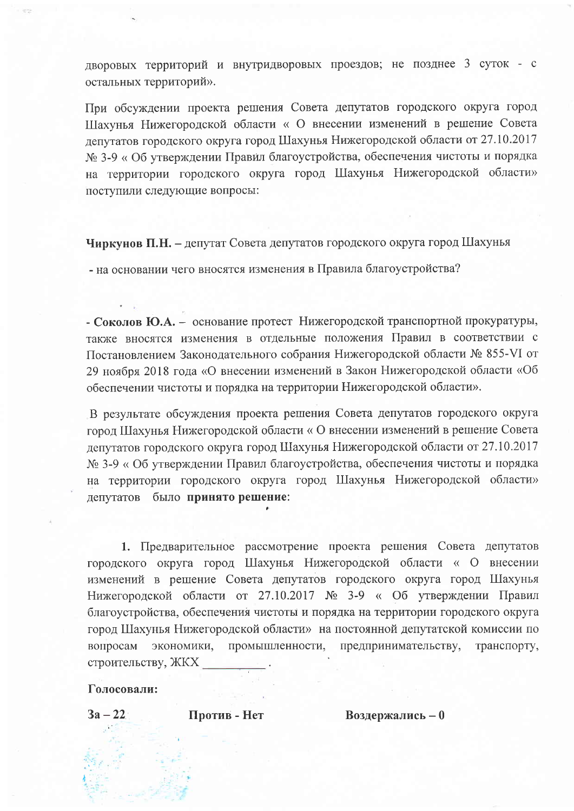дворовых территорий и внутридворовых проездов; не позднее 3 суток - с остальных территорий».

При обсуждении проекта решения Совета депутатов городского округа город Шахунья Нижегородской области « О внесении изменений в решение Совета депутатов городского округа город Шахунья Нижегородской области от 27.10.2017 № 3-9 « Об утверждении Правил благоустройства, обеспечения чистоты и порядка на территории городского округа город Шахунья Нижегородской области» поступили следующие вопросы:

Чиркунов П.Н. - депутат Совета депутатов городского округа город Шахунья

- на основании чего вносятся изменения в Правила благоустройства?

- Соколов Ю.А. - основание протест Нижегородской транспортной прокуратуры, также вносятся изменения в отдельные положения Правил в соответствии с Постановлением Законодательного собрания Нижегородской области № 855-VI от 29 ноября 2018 года «О внесении изменений в Закон Нижегородской области «Об обеспечении чистоты и порядка на территории Нижегородской области».

В результате обсуждения проекта решения Совета депутатов городского округа город Шахунья Нижегородской области «О внесении изменений в решение Совета депутатов городского округа город Шахунья Нижегородской области от 27.10.2017 № 3-9 « Об утверждении Правил благоустройства, обеспечения чистоты и порядка на территории городского округа город Шахунья Нижегородской области» депутатов было принято решение:

1. Предварительное рассмотрение проекта решения Совета депутатов городского округа город Шахунья Нижегородской области « О внесении изменений в решение Совета депутатов городского округа город Шахунья Нижегородской области от 27.10.2017 № 3-9 « Об утверждении Правил благоустройства, обеспечения чистоты и порядка на территории городского округа город Шахунья Нижегородской области» на постоянной депутатской комиссии по экономики, промышленности, предпринимательству, транспорту, вопросам строительству, ЖКХ

## Голосовали:

 $3a - 22$ 

Против - Нет

Воздержались - 0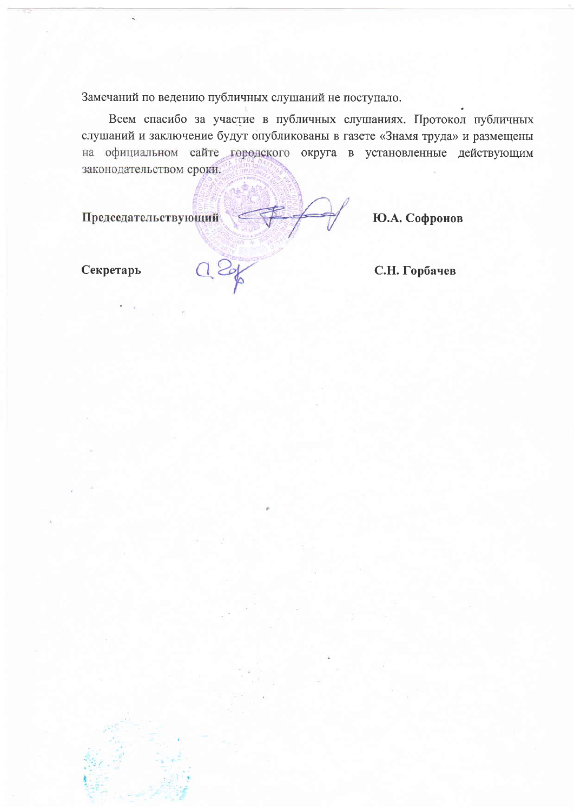Замечаний по ведению публичных слушаний не поступало.

Всем спасибо за участие в публичных слушаниях. Протокол публичных слушаний и заключение будут опубликованы в газете «Знамя труда» и размещены на официальном сайте городского округа в установленные действующим законодательством сроки.

Председательствующий

Ю.А. Софронов

Секретарь

С.Н. Горбачев